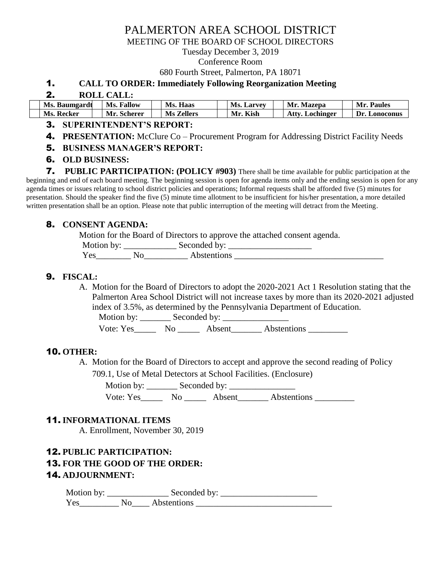# PALMERTON AREA SCHOOL DISTRICT

MEETING OF THE BOARD OF SCHOOL DIRECTORS

Tuesday December 3, 2019

#### Conference Room

680 Fourth Street, Palmerton, PA 18071

#### 1. **CALL TO ORDER: Immediately Following Reorganization Meeting**

#### 2. **ROLL CALL:**

| Ms.<br>. Baumgardt | Fallow<br>Мs   | Ms.<br>Haas    | VI.<br>. Larvey<br>IV.5. | Mr.<br>Mazepa | <b>Paules</b><br>Мr |
|--------------------|----------------|----------------|--------------------------|---------------|---------------------|
| Ms.                | <b>Scherer</b> | <b>Zellers</b> | Kish                     | ، ttv         | Dr                  |
| . Kecker           | VIr.           | Ms.            | Mr.                      | Lochinger     | <b>_onoconus</b>    |

### 3. **SUPERINTENDENT'S REPORT:**

- 4. **PRESENTATION:** McClure Co Procurement Program for Addressing District Facility Needs
- 5. **BUSINESS MANAGER'S REPORT:**
- 6. **OLD BUSINESS:**

7. **PUBLIC PARTICIPATION: (POLICY #903)** There shall be time available for public participation at the beginning and end of each board meeting. The beginning session is open for agenda items only and the ending session is open for any agenda times or issues relating to school district policies and operations; Informal requests shall be afforded five (5) minutes for presentation. Should the speaker find the five (5) minute time allotment to be insufficient for his/her presentation, a more detailed written presentation shall be an option. Please note that public interruption of the meeting will detract from the Meeting.

#### 8. **CONSENT AGENDA:**

Motion for the Board of Directors to approve the attached consent agenda.

| Motion by: |    | Seconded by: |  |
|------------|----|--------------|--|
| Yes        | Nο | Abstentions  |  |

### 9. **FISCAL:**

A. Motion for the Board of Directors to adopt the 2020-2021 Act 1 Resolution stating that the Palmerton Area School District will not increase taxes by more than its 2020-2021 adjusted index of 3.5%, as determined by the Pennsylvania Department of Education.

Motion by: \_\_\_\_\_\_\_ Seconded by: \_\_\_\_\_\_\_\_\_\_\_\_\_\_\_

Vote: Yes\_\_\_\_\_\_ No \_\_\_\_\_\_ Absent\_\_\_\_\_\_\_ Abstentions \_\_\_\_\_\_\_\_\_

#### 10. **OTHER:**

A. Motion for the Board of Directors to accept and approve the second reading of Policy

709.1, Use of Metal Detectors at School Facilities. (Enclosure)

Motion by: \_\_\_\_\_\_\_ Seconded by: \_\_\_\_\_\_\_\_\_\_\_\_\_\_\_

Vote: Yes\_\_\_\_\_\_\_ No \_\_\_\_\_\_ Absent\_\_\_\_\_\_\_ Abstentions \_\_\_\_\_\_\_\_\_

#### 11. **INFORMATIONAL ITEMS**

A. Enrollment, November 30, 2019

#### 12. **PUBLIC PARTICIPATION:**

### 13. **FOR THE GOOD OF THE ORDER:**

#### 14. **ADJOURNMENT:**

Motion by: \_\_\_\_\_\_\_\_\_\_\_\_\_\_\_\_\_\_\_\_\_\_\_\_ Seconded by: \_\_\_\_\_\_\_\_\_\_\_\_\_\_\_\_\_\_\_\_\_\_\_\_\_\_\_\_\_\_\_ Yes No<sub>l</sub> Abstentions  $\overline{X}$